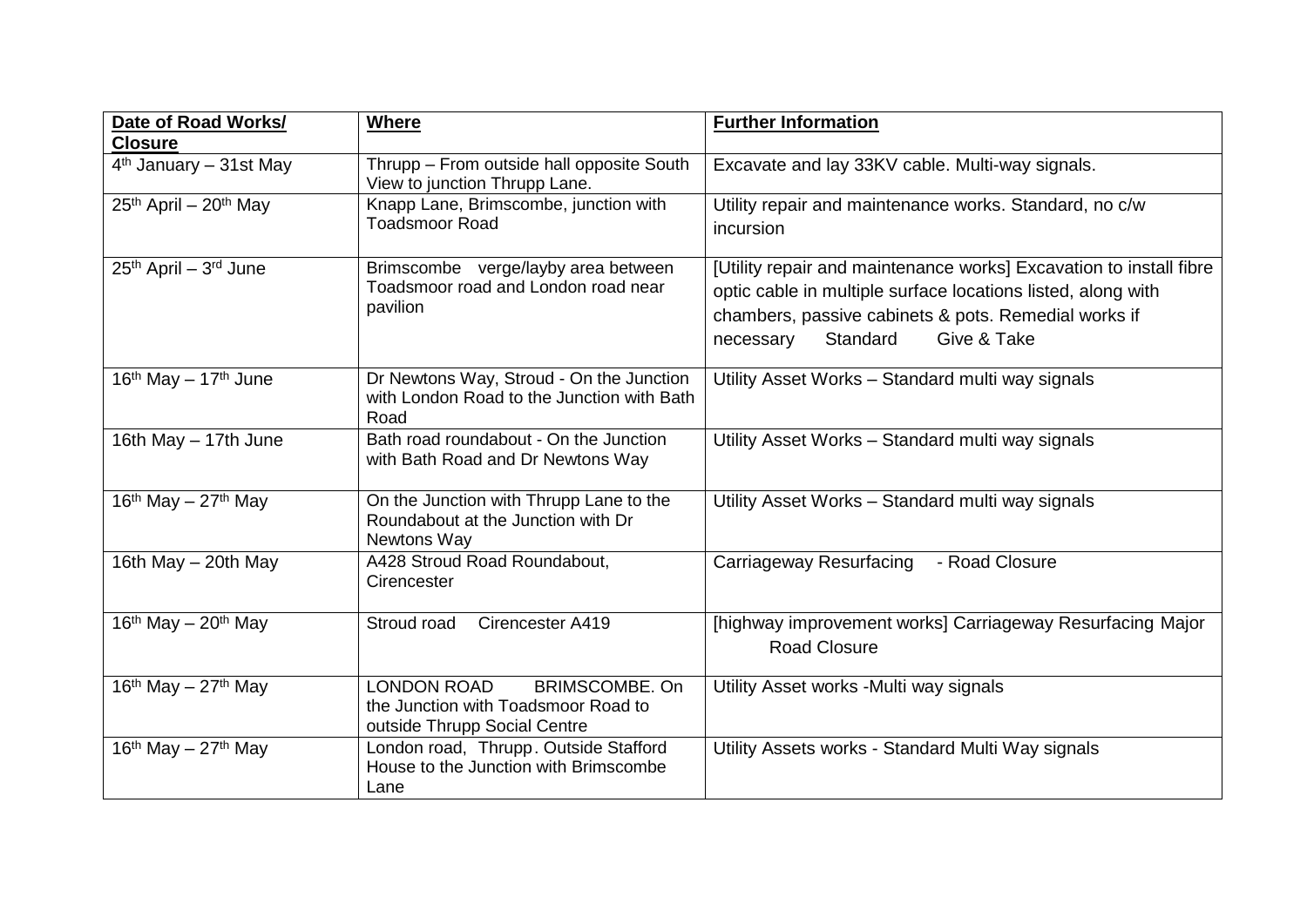| Date of Road Works/<br><b>Closure</b>       | <b>Where</b>                                                                                                       | <b>Further Information</b>                                                                                                                                                                                                         |
|---------------------------------------------|--------------------------------------------------------------------------------------------------------------------|------------------------------------------------------------------------------------------------------------------------------------------------------------------------------------------------------------------------------------|
| 4 <sup>th</sup> January - 31st May          | Thrupp - From outside hall opposite South<br>View to junction Thrupp Lane.                                         | Excavate and lay 33KV cable. Multi-way signals.                                                                                                                                                                                    |
| $25th$ April – $20th$ May                   | Knapp Lane, Brimscombe, junction with<br><b>Toadsmoor Road</b>                                                     | Utility repair and maintenance works. Standard, no c/w<br>incursion                                                                                                                                                                |
| 25th April - 3rd June                       | Brimscombe verge/layby area between<br>Toadsmoor road and London road near<br>pavilion                             | [Utility repair and maintenance works] Excavation to install fibre<br>optic cable in multiple surface locations listed, along with<br>chambers, passive cabinets & pots. Remedial works if<br>Give & Take<br>Standard<br>necessary |
| $16th$ May $- 17th$ June                    | Dr Newtons Way, Stroud - On the Junction<br>with London Road to the Junction with Bath<br>Road                     | Utility Asset Works - Standard multi way signals                                                                                                                                                                                   |
| 16th May - 17th June                        | Bath road roundabout - On the Junction<br>with Bath Road and Dr Newtons Way                                        | Utility Asset Works - Standard multi way signals                                                                                                                                                                                   |
| 16 <sup>th</sup> May - 27 <sup>th</sup> May | On the Junction with Thrupp Lane to the<br>Roundabout at the Junction with Dr<br>Newtons Way                       | Utility Asset Works - Standard multi way signals                                                                                                                                                                                   |
| 16th May - 20th May                         | A428 Stroud Road Roundabout,<br>Cirencester                                                                        | - Road Closure<br>Carriageway Resurfacing                                                                                                                                                                                          |
| $16th$ May - 20 <sup>th</sup> May           | Stroud road<br>Cirencester A419                                                                                    | [highway improvement works] Carriageway Resurfacing Major<br><b>Road Closure</b>                                                                                                                                                   |
| $16th$ May - 27 <sup>th</sup> May           | <b>LONDON ROAD</b><br><b>BRIMSCOMBE, On</b><br>the Junction with Toadsmoor Road to<br>outside Thrupp Social Centre | Utility Asset works - Multi way signals                                                                                                                                                                                            |
| 16 <sup>th</sup> May – 27 <sup>th</sup> May | London road, Thrupp. Outside Stafford<br>House to the Junction with Brimscombe<br>Lane                             | Utility Assets works - Standard Multi Way signals                                                                                                                                                                                  |